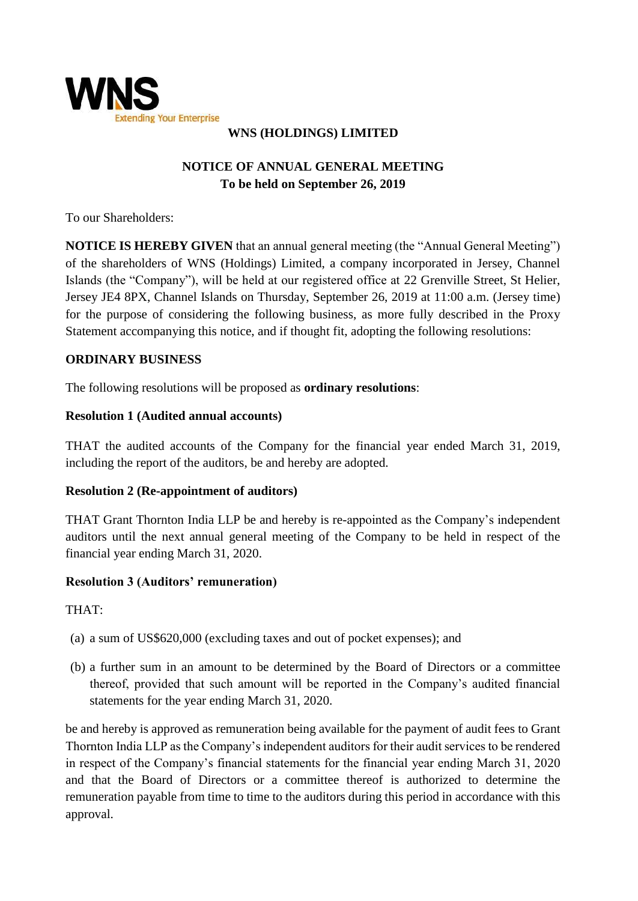

### **WNS (HOLDINGS) LIMITED**

# **NOTICE OF ANNUAL GENERAL MEETING To be held on September 26, 2019**

To our Shareholders:

**NOTICE IS HEREBY GIVEN** that an annual general meeting (the "Annual General Meeting") of the shareholders of WNS (Holdings) Limited, a company incorporated in Jersey, Channel Islands (the "Company"), will be held at our registered office at 22 Grenville Street, St Helier, Jersey JE4 8PX, Channel Islands on Thursday, September 26, 2019 at 11:00 a.m. (Jersey time) for the purpose of considering the following business, as more fully described in the Proxy Statement accompanying this notice, and if thought fit, adopting the following resolutions:

### **ORDINARY BUSINESS**

The following resolutions will be proposed as **ordinary resolutions**:

#### **Resolution 1 (Audited annual accounts)**

THAT the audited accounts of the Company for the financial year ended March 31, 2019, including the report of the auditors, be and hereby are adopted.

### **Resolution 2 (Re-appointment of auditors)**

THAT Grant Thornton India LLP be and hereby is re-appointed as the Company's independent auditors until the next annual general meeting of the Company to be held in respect of the financial year ending March 31, 2020.

### **Resolution 3 (Auditors' remuneration)**

THAT:

- (a) a sum of US\$620,000 (excluding taxes and out of pocket expenses); and
- (b) a further sum in an amount to be determined by the Board of Directors or a committee thereof, provided that such amount will be reported in the Company's audited financial statements for the year ending March 31, 2020.

be and hereby is approved as remuneration being available for the payment of audit fees to Grant Thornton India LLP as the Company's independent auditors for their audit services to be rendered in respect of the Company's financial statements for the financial year ending March 31, 2020 and that the Board of Directors or a committee thereof is authorized to determine the remuneration payable from time to time to the auditors during this period in accordance with this approval.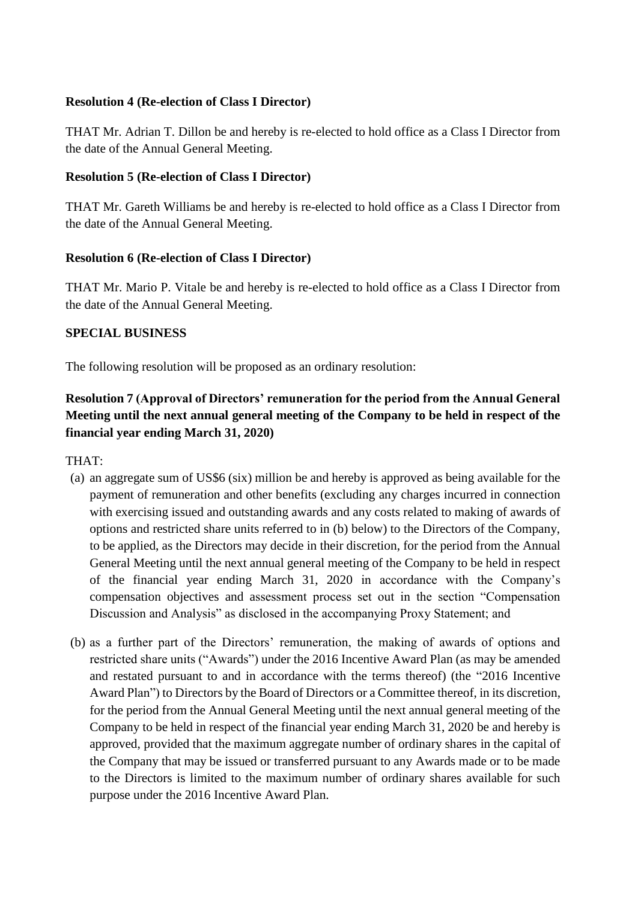#### **Resolution 4 (Re-election of Class I Director)**

THAT Mr. Adrian T. Dillon be and hereby is re-elected to hold office as a Class I Director from the date of the Annual General Meeting.

### **Resolution 5 (Re-election of Class I Director)**

THAT Mr. Gareth Williams be and hereby is re-elected to hold office as a Class I Director from the date of the Annual General Meeting.

### **Resolution 6 (Re-election of Class I Director)**

THAT Mr. Mario P. Vitale be and hereby is re-elected to hold office as a Class I Director from the date of the Annual General Meeting.

### **SPECIAL BUSINESS**

The following resolution will be proposed as an ordinary resolution:

# **Resolution 7 (Approval of Directors' remuneration for the period from the Annual General Meeting until the next annual general meeting of the Company to be held in respect of the financial year ending March 31, 2020)**

THAT:

- (a) an aggregate sum of US\$6 (six) million be and hereby is approved as being available for the payment of remuneration and other benefits (excluding any charges incurred in connection with exercising issued and outstanding awards and any costs related to making of awards of options and restricted share units referred to in (b) below) to the Directors of the Company, to be applied, as the Directors may decide in their discretion, for the period from the Annual General Meeting until the next annual general meeting of the Company to be held in respect of the financial year ending March 31, 2020 in accordance with the Company's compensation objectives and assessment process set out in the section "Compensation Discussion and Analysis" as disclosed in the accompanying Proxy Statement; and
- (b) as a further part of the Directors' remuneration, the making of awards of options and restricted share units ("Awards") under the 2016 Incentive Award Plan (as may be amended and restated pursuant to and in accordance with the terms thereof) (the "2016 Incentive Award Plan") to Directors by the Board of Directors or a Committee thereof, in its discretion, for the period from the Annual General Meeting until the next annual general meeting of the Company to be held in respect of the financial year ending March 31, 2020 be and hereby is approved, provided that the maximum aggregate number of ordinary shares in the capital of the Company that may be issued or transferred pursuant to any Awards made or to be made to the Directors is limited to the maximum number of ordinary shares available for such purpose under the 2016 Incentive Award Plan.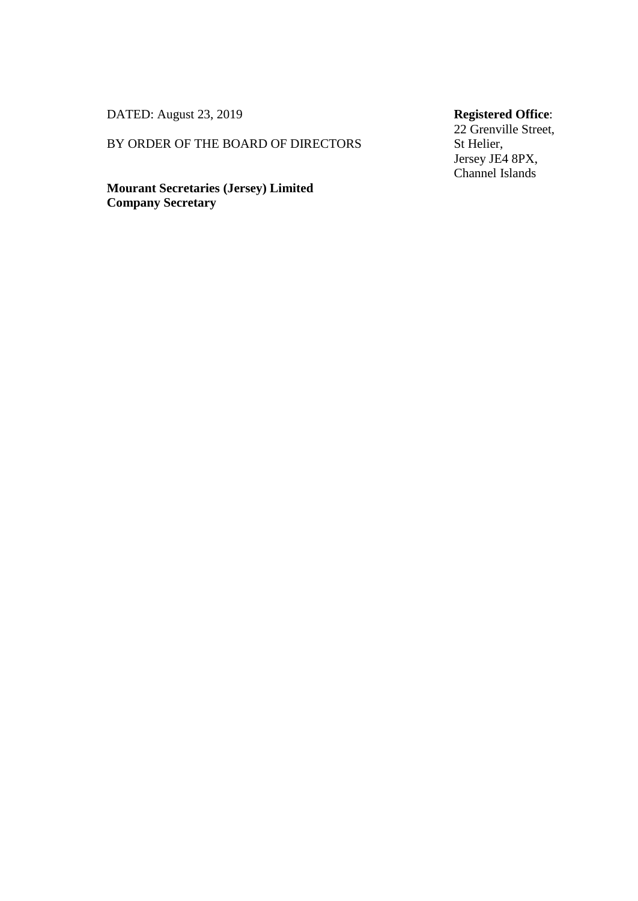DATED: August 23, 2019

#### BY ORDER OF THE BOARD OF DIRECTORS

**Mourant Secretaries (Jersey) Limited Company Secretary**

# **Registered Office**:

22 Grenville Street, St Helier, Jersey JE4 8PX, Channel Islands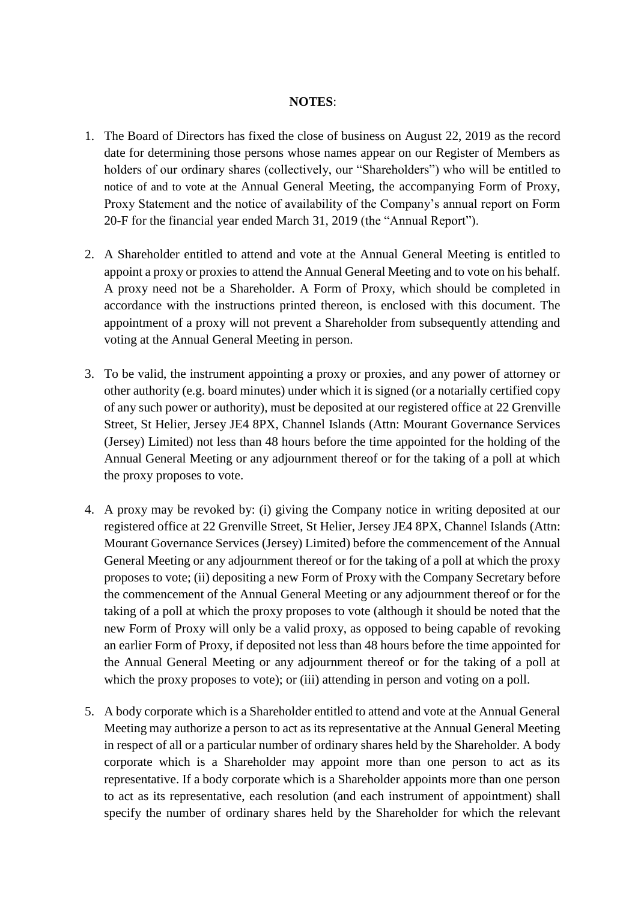#### **NOTES**:

- 1. The Board of Directors has fixed the close of business on August 22, 2019 as the record date for determining those persons whose names appear on our Register of Members as holders of our ordinary shares (collectively, our "Shareholders") who will be entitled to notice of and to vote at the Annual General Meeting, the accompanying Form of Proxy, Proxy Statement and the notice of availability of the Company's annual report on Form 20-F for the financial year ended March 31, 2019 (the "Annual Report").
- 2. A Shareholder entitled to attend and vote at the Annual General Meeting is entitled to appoint a proxy or proxies to attend the Annual General Meeting and to vote on his behalf. A proxy need not be a Shareholder. A Form of Proxy, which should be completed in accordance with the instructions printed thereon, is enclosed with this document. The appointment of a proxy will not prevent a Shareholder from subsequently attending and voting at the Annual General Meeting in person.
- 3. To be valid, the instrument appointing a proxy or proxies, and any power of attorney or other authority (e.g. board minutes) under which it is signed (or a notarially certified copy of any such power or authority), must be deposited at our registered office at 22 Grenville Street, St Helier, Jersey JE4 8PX, Channel Islands (Attn: Mourant Governance Services (Jersey) Limited) not less than 48 hours before the time appointed for the holding of the Annual General Meeting or any adjournment thereof or for the taking of a poll at which the proxy proposes to vote.
- 4. A proxy may be revoked by: (i) giving the Company notice in writing deposited at our registered office at 22 Grenville Street, St Helier, Jersey JE4 8PX, Channel Islands (Attn: Mourant Governance Services (Jersey) Limited) before the commencement of the Annual General Meeting or any adjournment thereof or for the taking of a poll at which the proxy proposes to vote; (ii) depositing a new Form of Proxy with the Company Secretary before the commencement of the Annual General Meeting or any adjournment thereof or for the taking of a poll at which the proxy proposes to vote (although it should be noted that the new Form of Proxy will only be a valid proxy, as opposed to being capable of revoking an earlier Form of Proxy, if deposited not less than 48 hours before the time appointed for the Annual General Meeting or any adjournment thereof or for the taking of a poll at which the proxy proposes to vote); or (iii) attending in person and voting on a poll.
- 5. A body corporate which is a Shareholder entitled to attend and vote at the Annual General Meeting may authorize a person to act as its representative at the Annual General Meeting in respect of all or a particular number of ordinary shares held by the Shareholder. A body corporate which is a Shareholder may appoint more than one person to act as its representative. If a body corporate which is a Shareholder appoints more than one person to act as its representative, each resolution (and each instrument of appointment) shall specify the number of ordinary shares held by the Shareholder for which the relevant